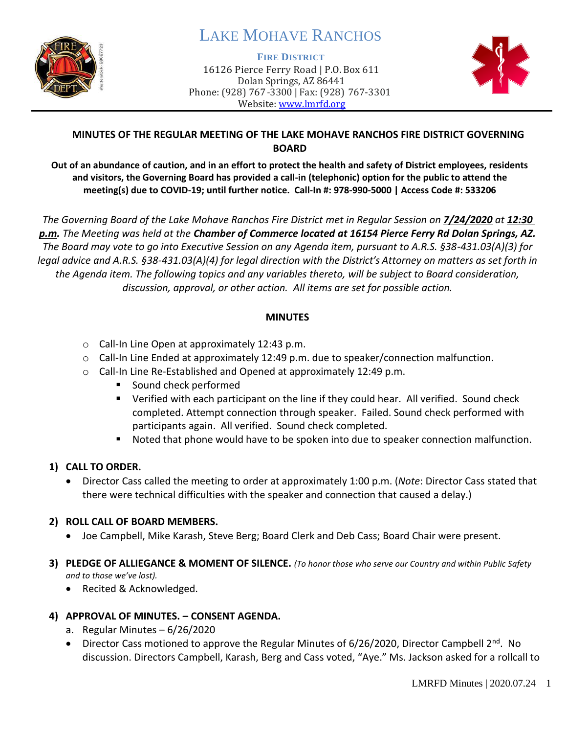

# LAKE MOHAVE RANCHOS

#### **FIRE DISTRICT**

16126 Pierce Ferry Road | P.O. Box 611 Dolan Springs, AZ 86441 Phone: (928) 767-3300 | Fax: (928) 767-3301 Website: [www.lmrfd.org](http://www.lmrfd.org/)



# **MINUTES OF THE REGULAR MEETING OF THE LAKE MOHAVE RANCHOS FIRE DISTRICT GOVERNING BOARD**

**Out of an abundance of caution, and in an effort to protect the health and safety of District employees, residents and visitors, the Governing Board has provided a call-in (telephonic) option for the public to attend the meeting(s) due to COVID-19; until further notice. Call-In #: 978-990-5000 | Access Code #: 533206**

*The Governing Board of the Lake Mohave Ranchos Fire District met in Regular Session on 7/24/2020 at 12:30 p.m. The Meeting was held at the Chamber of Commerce located at 16154 Pierce Ferry Rd Dolan Springs, AZ. The Board may vote to go into Executive Session on any Agenda item, pursuant to A.R.S. §38-431.03(A)(3) for legal advice and A.R.S. §38-431.03(A)(4) for legal direction with the District's Attorney on matters as set forth in the Agenda item. The following topics and any variables thereto, will be subject to Board consideration, discussion, approval, or other action. All items are set for possible action.* 

### **MINUTES**

- o Call-In Line Open at approximately 12:43 p.m.
- $\circ$  Call-In Line Ended at approximately 12:49 p.m. due to speaker/connection malfunction.
- o Call-In Line Re-Established and Opened at approximately 12:49 p.m.
	- Sound check performed
	- Verified with each participant on the line if they could hear. All verified. Sound check completed. Attempt connection through speaker. Failed. Sound check performed with participants again. All verified. Sound check completed.
	- Noted that phone would have to be spoken into due to speaker connection malfunction.

# **1) CALL TO ORDER.**

• Director Cass called the meeting to order at approximately 1:00 p.m. (*Note*: Director Cass stated that there were technical difficulties with the speaker and connection that caused a delay.)

# **2) ROLL CALL OF BOARD MEMBERS.**

- Joe Campbell, Mike Karash, Steve Berg; Board Clerk and Deb Cass; Board Chair were present.
- **3) PLEDGE OF ALLIEGANCE & MOMENT OF SILENCE.** *(To honor those who serve our Country and within Public Safety and to those we've lost).*
	- Recited & Acknowledged.

# **4) APPROVAL OF MINUTES. – CONSENT AGENDA.**

- a. Regular Minutes 6/26/2020
- Director Cass motioned to approve the Regular Minutes of 6/26/2020, Director Campbell 2<sup>nd</sup>. No discussion. Directors Campbell, Karash, Berg and Cass voted, "Aye." Ms. Jackson asked for a rollcall to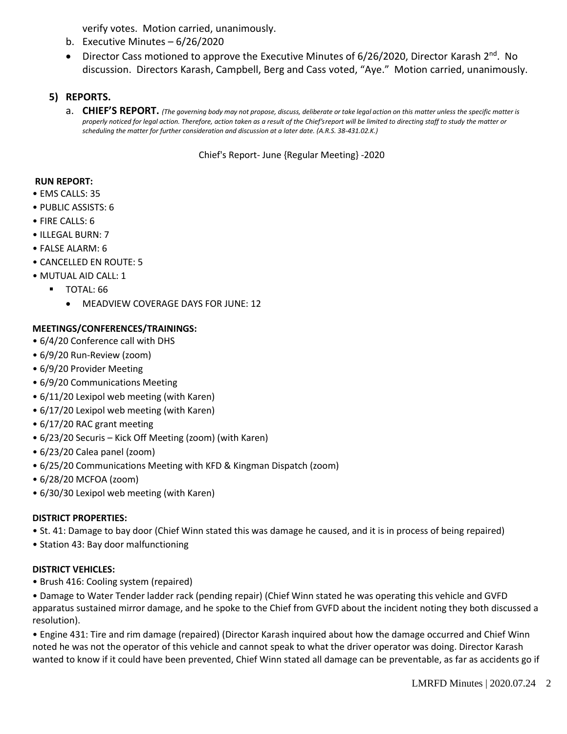verify votes. Motion carried, unanimously.

- b. Executive Minutes 6/26/2020
- Director Cass motioned to approve the Executive Minutes of 6/26/2020, Director Karash 2<sup>nd</sup>. No discussion. Directors Karash, Campbell, Berg and Cass voted, "Aye." Motion carried, unanimously.

# **5) REPORTS.**

a. CHIEF'S REPORT. (The governing body may not propose, discuss, deliberate or take legal action on this matter unless the specific matter is *properly noticed for legal action. Therefore, action taken as a result of the Chief's report will be limited to directing staff to study the matter or scheduling the matter for further consideration and discussion at a later date. (A.R.S. 38-431.02.K.)*

Chief's Report- June {Regular Meeting} -2020

#### **RUN REPORT:**

- EMS CALLS: 35
- PUBLIC ASSISTS: 6
- FIRE CALLS: 6
- ILLEGAL BURN: 7
- FALSE ALARM: 6
- CANCELLED EN ROUTE: 5
- MUTUAL AID CALL: 1
	- **TOTAL: 66** 
		- MEADVIEW COVERAGE DAYS FOR JUNE: 12

#### **MEETINGS/CONFERENCES/TRAININGS:**

- 6/4/20 Conference call with DHS
- 6/9/20 Run-Review (zoom)
- 6/9/20 Provider Meeting
- 6/9/20 Communications Meeting
- 6/11/20 Lexipol web meeting (with Karen)
- 6/17/20 Lexipol web meeting (with Karen)
- 6/17/20 RAC grant meeting
- 6/23/20 Securis Kick Off Meeting (zoom) (with Karen)
- 6/23/20 Calea panel (zoom)
- 6/25/20 Communications Meeting with KFD & Kingman Dispatch (zoom)
- 6/28/20 MCFOA (zoom)
- 6/30/30 Lexipol web meeting (with Karen)

#### **DISTRICT PROPERTIES:**

- St. 41: Damage to bay door (Chief Winn stated this was damage he caused, and it is in process of being repaired)
- Station 43: Bay door malfunctioning

#### **DISTRICT VEHICLES:**

• Brush 416: Cooling system (repaired)

• Damage to Water Tender ladder rack (pending repair) (Chief Winn stated he was operating this vehicle and GVFD apparatus sustained mirror damage, and he spoke to the Chief from GVFD about the incident noting they both discussed a resolution).

• Engine 431: Tire and rim damage (repaired) (Director Karash inquired about how the damage occurred and Chief Winn noted he was not the operator of this vehicle and cannot speak to what the driver operator was doing. Director Karash wanted to know if it could have been prevented, Chief Winn stated all damage can be preventable, as far as accidents go if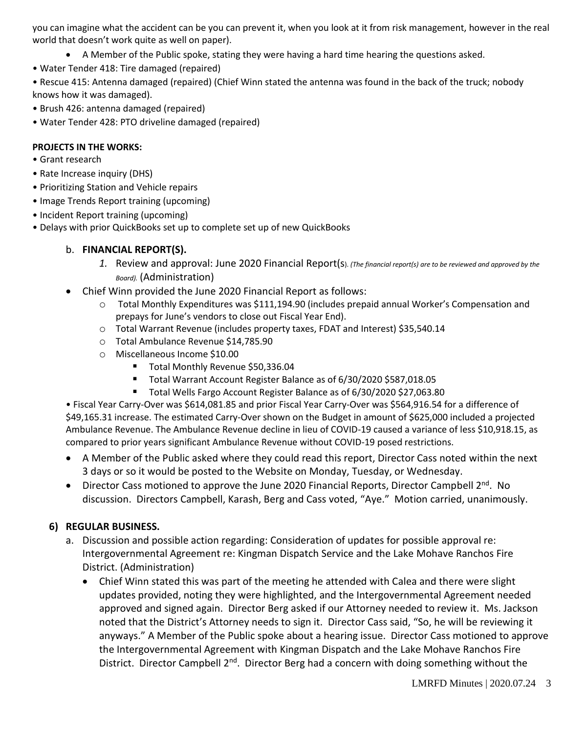you can imagine what the accident can be you can prevent it, when you look at it from risk management, however in the real world that doesn't work quite as well on paper).

- A Member of the Public spoke, stating they were having a hard time hearing the questions asked.
- Water Tender 418: Tire damaged (repaired)

• Rescue 415: Antenna damaged (repaired) (Chief Winn stated the antenna was found in the back of the truck; nobody knows how it was damaged).

- Brush 426: antenna damaged (repaired)
- Water Tender 428: PTO driveline damaged (repaired)

#### **PROJECTS IN THE WORKS:**

- Grant research
- Rate Increase inquiry (DHS)
- Prioritizing Station and Vehicle repairs
- Image Trends Report training (upcoming)
- Incident Report training (upcoming)
- Delays with prior QuickBooks set up to complete set up of new QuickBooks

# b. **FINANCIAL REPORT(S).**

- *1.* Review and approval: June 2020 Financial Report(s). *(The financial report(s) are to be reviewed and approved by the Board).* (Administration)
- Chief Winn provided the June 2020 Financial Report as follows:
	- o Total Monthly Expenditures was \$111,194.90 (includes prepaid annual Worker's Compensation and prepays for June's vendors to close out Fiscal Year End).
	- o Total Warrant Revenue (includes property taxes, FDAT and Interest) \$35,540.14
	- o Total Ambulance Revenue \$14,785.90
	- o Miscellaneous Income \$10.00
		- Total Monthly Revenue \$50,336.04
		- Total Warrant Account Register Balance as of 6/30/2020 \$587,018.05
		- Total Wells Fargo Account Register Balance as of 6/30/2020 \$27,063.80

• Fiscal Year Carry-Over was \$614,081.85 and prior Fiscal Year Carry-Over was \$564,916.54 for a difference of \$49,165.31 increase. The estimated Carry-Over shown on the Budget in amount of \$625,000 included a projected Ambulance Revenue. The Ambulance Revenue decline in lieu of COVID-19 caused a variance of less \$10,918.15, as compared to prior years significant Ambulance Revenue without COVID-19 posed restrictions.

- A Member of the Public asked where they could read this report, Director Cass noted within the next 3 days or so it would be posted to the Website on Monday, Tuesday, or Wednesday.
- Director Cass motioned to approve the June 2020 Financial Reports, Director Campbell 2<sup>nd</sup>. No discussion. Directors Campbell, Karash, Berg and Cass voted, "Aye." Motion carried, unanimously.

# **6) REGULAR BUSINESS.**

- a. Discussion and possible action regarding: Consideration of updates for possible approval re: Intergovernmental Agreement re: Kingman Dispatch Service and the Lake Mohave Ranchos Fire District. (Administration)
	- Chief Winn stated this was part of the meeting he attended with Calea and there were slight updates provided, noting they were highlighted, and the Intergovernmental Agreement needed approved and signed again. Director Berg asked if our Attorney needed to review it. Ms. Jackson noted that the District's Attorney needs to sign it. Director Cass said, "So, he will be reviewing it anyways." A Member of the Public spoke about a hearing issue. Director Cass motioned to approve the Intergovernmental Agreement with Kingman Dispatch and the Lake Mohave Ranchos Fire District. Director Campbell 2<sup>nd</sup>. Director Berg had a concern with doing something without the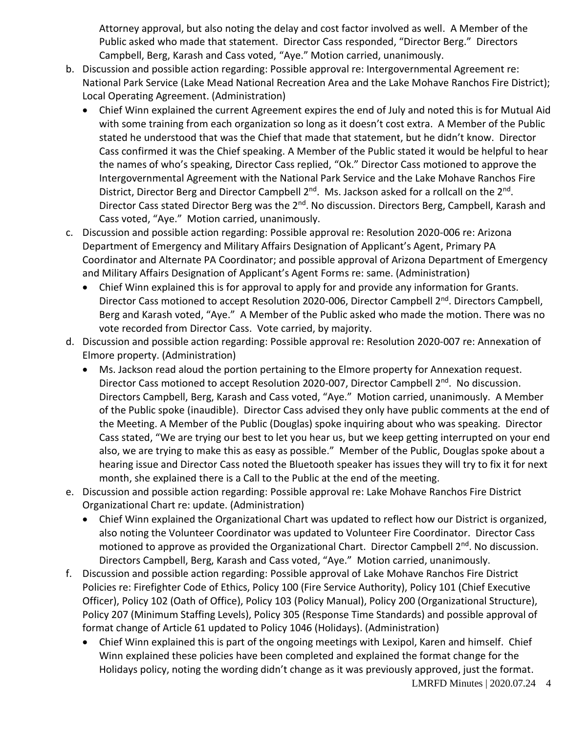Attorney approval, but also noting the delay and cost factor involved as well. A Member of the Public asked who made that statement. Director Cass responded, "Director Berg." Directors Campbell, Berg, Karash and Cass voted, "Aye." Motion carried, unanimously.

- b. Discussion and possible action regarding: Possible approval re: Intergovernmental Agreement re: National Park Service (Lake Mead National Recreation Area and the Lake Mohave Ranchos Fire District); Local Operating Agreement. (Administration)
	- Chief Winn explained the current Agreement expires the end of July and noted this is for Mutual Aid with some training from each organization so long as it doesn't cost extra. A Member of the Public stated he understood that was the Chief that made that statement, but he didn't know. Director Cass confirmed it was the Chief speaking. A Member of the Public stated it would be helpful to hear the names of who's speaking, Director Cass replied, "Ok." Director Cass motioned to approve the Intergovernmental Agreement with the National Park Service and the Lake Mohave Ranchos Fire District, Director Berg and Director Campbell 2<sup>nd</sup>. Ms. Jackson asked for a rollcall on the 2<sup>nd</sup>. Director Cass stated Director Berg was the 2<sup>nd</sup>. No discussion. Directors Berg, Campbell, Karash and Cass voted, "Aye." Motion carried, unanimously.
- c. Discussion and possible action regarding: Possible approval re: Resolution 2020-006 re: Arizona Department of Emergency and Military Affairs Designation of Applicant's Agent, Primary PA Coordinator and Alternate PA Coordinator; and possible approval of Arizona Department of Emergency and Military Affairs Designation of Applicant's Agent Forms re: same. (Administration)
	- Chief Winn explained this is for approval to apply for and provide any information for Grants. Director Cass motioned to accept Resolution 2020-006, Director Campbell 2<sup>nd</sup>. Directors Campbell, Berg and Karash voted, "Aye." A Member of the Public asked who made the motion. There was no vote recorded from Director Cass. Vote carried, by majority.
- d. Discussion and possible action regarding: Possible approval re: Resolution 2020-007 re: Annexation of Elmore property. (Administration)
	- Ms. Jackson read aloud the portion pertaining to the Elmore property for Annexation request. Director Cass motioned to accept Resolution 2020-007, Director Campbell 2<sup>nd</sup>. No discussion. Directors Campbell, Berg, Karash and Cass voted, "Aye." Motion carried, unanimously. A Member of the Public spoke (inaudible). Director Cass advised they only have public comments at the end of the Meeting. A Member of the Public (Douglas) spoke inquiring about who was speaking. Director Cass stated, "We are trying our best to let you hear us, but we keep getting interrupted on your end also, we are trying to make this as easy as possible." Member of the Public, Douglas spoke about a hearing issue and Director Cass noted the Bluetooth speaker has issues they will try to fix it for next month, she explained there is a Call to the Public at the end of the meeting.
- e. Discussion and possible action regarding: Possible approval re: Lake Mohave Ranchos Fire District Organizational Chart re: update. (Administration)
	- Chief Winn explained the Organizational Chart was updated to reflect how our District is organized, also noting the Volunteer Coordinator was updated to Volunteer Fire Coordinator. Director Cass motioned to approve as provided the Organizational Chart. Director Campbell 2<sup>nd</sup>. No discussion. Directors Campbell, Berg, Karash and Cass voted, "Aye." Motion carried, unanimously.
- f. Discussion and possible action regarding: Possible approval of Lake Mohave Ranchos Fire District Policies re: Firefighter Code of Ethics, Policy 100 (Fire Service Authority), Policy 101 (Chief Executive Officer), Policy 102 (Oath of Office), Policy 103 (Policy Manual), Policy 200 (Organizational Structure), Policy 207 (Minimum Staffing Levels), Policy 305 (Response Time Standards) and possible approval of format change of Article 61 updated to Policy 1046 (Holidays). (Administration)
	- Chief Winn explained this is part of the ongoing meetings with Lexipol, Karen and himself. Chief Winn explained these policies have been completed and explained the format change for the Holidays policy, noting the wording didn't change as it was previously approved, just the format.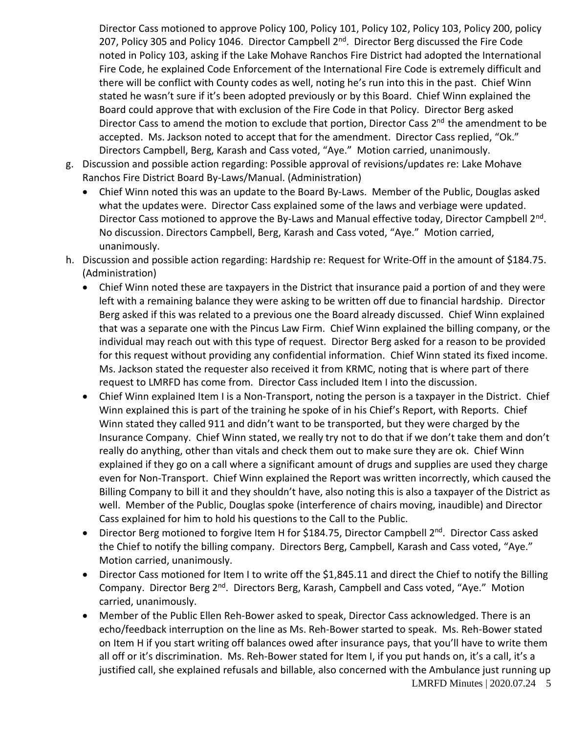Director Cass motioned to approve Policy 100, Policy 101, Policy 102, Policy 103, Policy 200, policy 207, Policy 305 and Policy 1046. Director Campbell 2<sup>nd</sup>. Director Berg discussed the Fire Code noted in Policy 103, asking if the Lake Mohave Ranchos Fire District had adopted the International Fire Code, he explained Code Enforcement of the International Fire Code is extremely difficult and there will be conflict with County codes as well, noting he's run into this in the past. Chief Winn stated he wasn't sure if it's been adopted previously or by this Board. Chief Winn explained the Board could approve that with exclusion of the Fire Code in that Policy. Director Berg asked Director Cass to amend the motion to exclude that portion, Director Cass 2<sup>nd</sup> the amendment to be accepted. Ms. Jackson noted to accept that for the amendment. Director Cass replied, "Ok." Directors Campbell, Berg, Karash and Cass voted, "Aye." Motion carried, unanimously.

- g. Discussion and possible action regarding: Possible approval of revisions/updates re: Lake Mohave Ranchos Fire District Board By-Laws/Manual. (Administration)
	- Chief Winn noted this was an update to the Board By-Laws. Member of the Public, Douglas asked what the updates were. Director Cass explained some of the laws and verbiage were updated. Director Cass motioned to approve the By-Laws and Manual effective today, Director Campbell 2<sup>nd</sup>. No discussion. Directors Campbell, Berg, Karash and Cass voted, "Aye." Motion carried, unanimously.
- h. Discussion and possible action regarding: Hardship re: Request for Write-Off in the amount of \$184.75. (Administration)
	- Chief Winn noted these are taxpayers in the District that insurance paid a portion of and they were left with a remaining balance they were asking to be written off due to financial hardship. Director Berg asked if this was related to a previous one the Board already discussed. Chief Winn explained that was a separate one with the Pincus Law Firm. Chief Winn explained the billing company, or the individual may reach out with this type of request. Director Berg asked for a reason to be provided for this request without providing any confidential information. Chief Winn stated its fixed income. Ms. Jackson stated the requester also received it from KRMC, noting that is where part of there request to LMRFD has come from. Director Cass included Item I into the discussion.
	- Chief Winn explained Item I is a Non-Transport, noting the person is a taxpayer in the District. Chief Winn explained this is part of the training he spoke of in his Chief's Report, with Reports. Chief Winn stated they called 911 and didn't want to be transported, but they were charged by the Insurance Company. Chief Winn stated, we really try not to do that if we don't take them and don't really do anything, other than vitals and check them out to make sure they are ok. Chief Winn explained if they go on a call where a significant amount of drugs and supplies are used they charge even for Non-Transport. Chief Winn explained the Report was written incorrectly, which caused the Billing Company to bill it and they shouldn't have, also noting this is also a taxpayer of the District as well. Member of the Public, Douglas spoke (interference of chairs moving, inaudible) and Director Cass explained for him to hold his questions to the Call to the Public.
	- Director Berg motioned to forgive Item H for \$184.75, Director Campbell 2<sup>nd</sup>. Director Cass asked the Chief to notify the billing company. Directors Berg, Campbell, Karash and Cass voted, "Aye." Motion carried, unanimously.
	- Director Cass motioned for Item I to write off the \$1,845.11 and direct the Chief to notify the Billing Company. Director Berg 2<sup>nd</sup>. Directors Berg, Karash, Campbell and Cass voted, "Aye." Motion carried, unanimously.
	- LMRFD Minutes | 2020.07.24 5 • Member of the Public Ellen Reh-Bower asked to speak, Director Cass acknowledged. There is an echo/feedback interruption on the line as Ms. Reh-Bower started to speak. Ms. Reh-Bower stated on Item H if you start writing off balances owed after insurance pays, that you'll have to write them all off or it's discrimination. Ms. Reh-Bower stated for Item I, if you put hands on, it's a call, it's a justified call, she explained refusals and billable, also concerned with the Ambulance just running up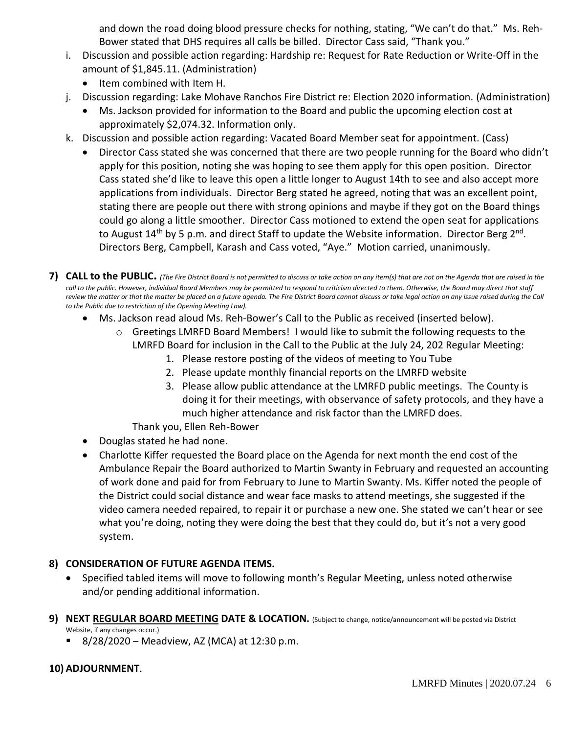and down the road doing blood pressure checks for nothing, stating, "We can't do that." Ms. Reh-Bower stated that DHS requires all calls be billed. Director Cass said, "Thank you."

- i. Discussion and possible action regarding: Hardship re: Request for Rate Reduction or Write-Off in the amount of \$1,845.11. (Administration)
	- Item combined with Item H.
- j. Discussion regarding: Lake Mohave Ranchos Fire District re: Election 2020 information. (Administration)
	- Ms. Jackson provided for information to the Board and public the upcoming election cost at approximately \$2,074.32. Information only.
- k. Discussion and possible action regarding: Vacated Board Member seat for appointment. (Cass)
	- Director Cass stated she was concerned that there are two people running for the Board who didn't apply for this position, noting she was hoping to see them apply for this open position. Director Cass stated she'd like to leave this open a little longer to August 14th to see and also accept more applications from individuals. Director Berg stated he agreed, noting that was an excellent point, stating there are people out there with strong opinions and maybe if they got on the Board things could go along a little smoother. Director Cass motioned to extend the open seat for applications to August 14<sup>th</sup> by 5 p.m. and direct Staff to update the Website information. Director Berg 2<sup>nd</sup>. Directors Berg, Campbell, Karash and Cass voted, "Aye." Motion carried, unanimously.
- **7) CALL to the PUBLIC.** *(The Fire District Board is not permitted to discuss or take action on any item(s) that are not on the Agenda that are raised in the call to the public. However, individual Board Members may be permitted to respond to criticism directed to them. Otherwise, the Board may direct that staff review the matter or that the matter be placed on a future agenda. The Fire District Board cannot discuss or take legal action on any issue raised during the Call to the Public due to restriction of the Opening Meeting Law).*
	- Ms. Jackson read aloud Ms. Reh-Bower's Call to the Public as received (inserted below).
		- o Greetings LMRFD Board Members! I would like to submit the following requests to the LMRFD Board for inclusion in the Call to the Public at the July 24, 202 Regular Meeting:
			- 1. Please restore posting of the videos of meeting to You Tube
			- 2. Please update monthly financial reports on the LMRFD website
			- 3. Please allow public attendance at the LMRFD public meetings. The County is doing it for their meetings, with observance of safety protocols, and they have a much higher attendance and risk factor than the LMRFD does.
			- Thank you, Ellen Reh-Bower
	- Douglas stated he had none.
	- Charlotte Kiffer requested the Board place on the Agenda for next month the end cost of the Ambulance Repair the Board authorized to Martin Swanty in February and requested an accounting of work done and paid for from February to June to Martin Swanty. Ms. Kiffer noted the people of the District could social distance and wear face masks to attend meetings, she suggested if the video camera needed repaired, to repair it or purchase a new one. She stated we can't hear or see what you're doing, noting they were doing the best that they could do, but it's not a very good system.

# **8) CONSIDERATION OF FUTURE AGENDA ITEMS.**

- Specified tabled items will move to following month's Regular Meeting, unless noted otherwise and/or pending additional information.
- **9) NEXT REGULAR BOARD MEETING DATE & LOCATION.** (Subject to change, notice/announcement will be posted via District Website, if any changes occur.)
	- 8/28/2020 Meadview, AZ (MCA) at 12:30 p.m.

# **10) ADJOURNMENT**.